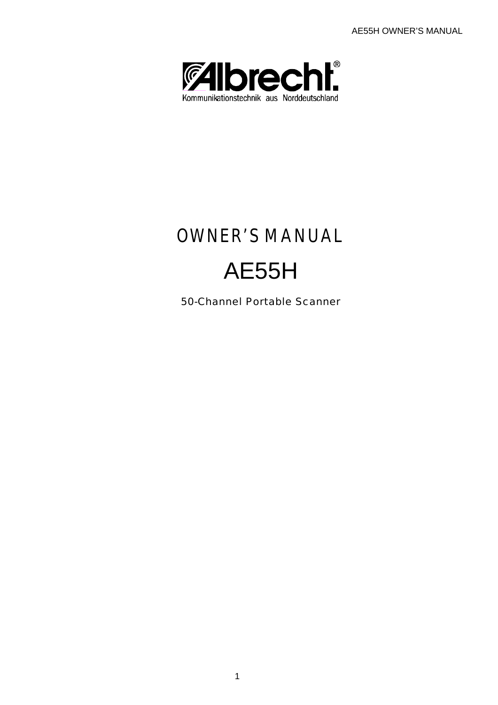AE55H OWNER'S MANUAL



# OWNER'S MANUAL

# AE55H

50-Channel Portable Scanner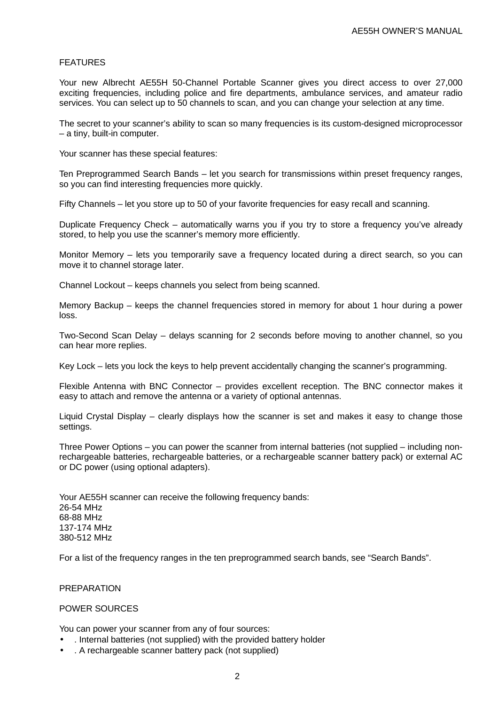## FEATURES

Your new Albrecht AE55H 50-Channel Portable Scanner gives you direct access to over 27,000 exciting frequencies, including police and fire departments, ambulance services, and amateur radio services. You can select up to 50 channels to scan, and you can change your selection at any time.

The secret to your scanner's ability to scan so many frequencies is its custom-designed microprocessor – a tiny, built-in computer.

Your scanner has these special features:

Ten Preprogrammed Search Bands – let you search for transmissions within preset frequency ranges, so you can find interesting frequencies more quickly.

Fifty Channels – let you store up to 50 of your favorite frequencies for easy recall and scanning.

Duplicate Frequency Check – automatically warns you if you try to store a frequency you've already stored, to help you use the scanner's memory more efficiently.

Monitor Memory – lets you temporarily save a frequency located during a direct search, so you can move it to channel storage later.

Channel Lockout – keeps channels you select from being scanned.

Memory Backup – keeps the channel frequencies stored in memory for about 1 hour during a power loss.

Two-Second Scan Delay – delays scanning for 2 seconds before moving to another channel, so you can hear more replies.

Key Lock – lets you lock the keys to help prevent accidentally changing the scanner's programming.

Flexible Antenna with BNC Connector – provides excellent reception. The BNC connector makes it easy to attach and remove the antenna or a variety of optional antennas.

Liquid Crystal Display – clearly displays how the scanner is set and makes it easy to change those settings.

Three Power Options – you can power the scanner from internal batteries (not supplied – including nonrechargeable batteries, rechargeable batteries, or a rechargeable scanner battery pack) or external AC or DC power (using optional adapters).

Your AE55H scanner can receive the following frequency bands: 26-54 MHz 68-88 MHz 137-174 MHz 380-512 MHz

For a list of the frequency ranges in the ten preprogrammed search bands, see "Search Bands".

#### **PREPARATION**

# POWER SOURCES

You can power your scanner from any of four sources:

- . Internal batteries (not supplied) with the provided battery holder
- . A rechargeable scanner battery pack (not supplied)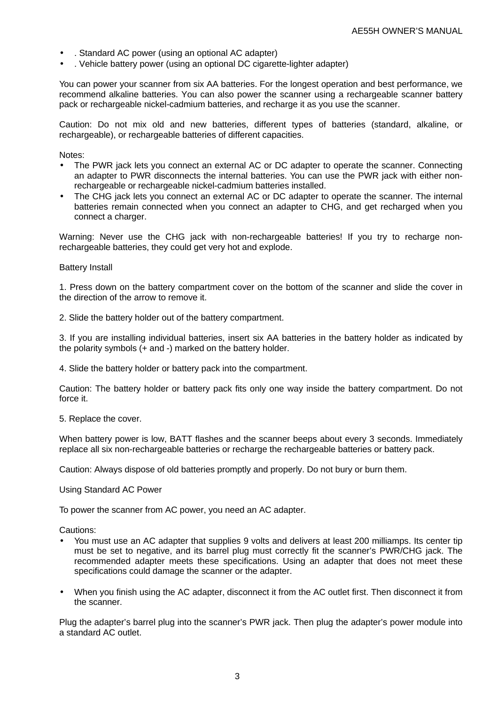- . Standard AC power (using an optional AC adapter)
- . Vehicle battery power (using an optional DC cigarette-lighter adapter)

You can power your scanner from six AA batteries. For the longest operation and best performance, we recommend alkaline batteries. You can also power the scanner using a rechargeable scanner battery pack or rechargeable nickel-cadmium batteries, and recharge it as you use the scanner.

Caution: Do not mix old and new batteries, different types of batteries (standard, alkaline, or rechargeable), or rechargeable batteries of different capacities.

Notes:

- The PWR jack lets you connect an external AC or DC adapter to operate the scanner. Connecting an adapter to PWR disconnects the internal batteries. You can use the PWR jack with either nonrechargeable or rechargeable nickel-cadmium batteries installed.
- The CHG jack lets you connect an external AC or DC adapter to operate the scanner. The internal batteries remain connected when you connect an adapter to CHG, and get recharged when you connect a charger.

Warning: Never use the CHG jack with non-rechargeable batteries! If you try to recharge nonrechargeable batteries, they could get very hot and explode.

#### Battery Install

1. Press down on the battery compartment cover on the bottom of the scanner and slide the cover in the direction of the arrow to remove it.

2. Slide the battery holder out of the battery compartment.

3. If you are installing individual batteries, insert six AA batteries in the battery holder as indicated by the polarity symbols (+ and -) marked on the battery holder.

4. Slide the battery holder or battery pack into the compartment.

Caution: The battery holder or battery pack fits only one way inside the battery compartment. Do not force it.

5. Replace the cover.

When battery power is low, BATT flashes and the scanner beeps about every 3 seconds. Immediately replace all six non-rechargeable batteries or recharge the rechargeable batteries or battery pack.

Caution: Always dispose of old batteries promptly and properly. Do not bury or burn them.

Using Standard AC Power

To power the scanner from AC power, you need an AC adapter.

Cautions:

- You must use an AC adapter that supplies 9 volts and delivers at least 200 milliamps. Its center tip must be set to negative, and its barrel plug must correctly fit the scanner's PWR/CHG jack. The recommended adapter meets these specifications. Using an adapter that does not meet these specifications could damage the scanner or the adapter.
- When you finish using the AC adapter, disconnect it from the AC outlet first. Then disconnect it from the scanner.

Plug the adapter's barrel plug into the scanner's PWR jack. Then plug the adapter's power module into a standard AC outlet.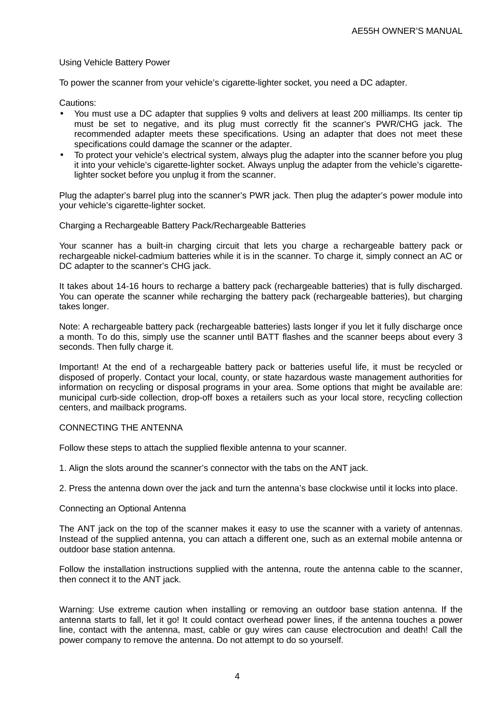# Using Vehicle Battery Power

To power the scanner from your vehicle's cigarette-lighter socket, you need a DC adapter.

Cautions:

- You must use a DC adapter that supplies 9 volts and delivers at least 200 milliamps. Its center tip must be set to negative, and its plug must correctly fit the scanner's PWR/CHG jack. The recommended adapter meets these specifications. Using an adapter that does not meet these specifications could damage the scanner or the adapter.
- To protect your vehicle's electrical system, always plug the adapter into the scanner before you plug it into your vehicle's cigarette-lighter socket. Always unplug the adapter from the vehicle's cigarettelighter socket before you unplug it from the scanner.

Plug the adapter's barrel plug into the scanner's PWR jack. Then plug the adapter's power module into your vehicle's cigarette-lighter socket.

#### Charging a Rechargeable Battery Pack/Rechargeable Batteries

Your scanner has a built-in charging circuit that lets you charge a rechargeable battery pack or rechargeable nickel-cadmium batteries while it is in the scanner. To charge it, simply connect an AC or DC adapter to the scanner's CHG jack.

It takes about 14-16 hours to recharge a battery pack (rechargeable batteries) that is fully discharged. You can operate the scanner while recharging the battery pack (rechargeable batteries), but charging takes longer.

Note: A rechargeable battery pack (rechargeable batteries) lasts longer if you let it fully discharge once a month. To do this, simply use the scanner until BATT flashes and the scanner beeps about every 3 seconds. Then fully charge it.

Important! At the end of a rechargeable battery pack or batteries useful life, it must be recycled or disposed of properly. Contact your local, county, or state hazardous waste management authorities for information on recycling or disposal programs in your area. Some options that might be available are: municipal curb-side collection, drop-off boxes a retailers such as your local store, recycling collection centers, and mailback programs.

#### CONNECTING THE ANTENNA

Follow these steps to attach the supplied flexible antenna to your scanner.

1. Align the slots around the scanner's connector with the tabs on the ANT jack.

2. Press the antenna down over the jack and turn the antenna's base clockwise until it locks into place.

# Connecting an Optional Antenna

The ANT jack on the top of the scanner makes it easy to use the scanner with a variety of antennas. Instead of the supplied antenna, you can attach a different one, such as an external mobile antenna or outdoor base station antenna.

Follow the installation instructions supplied with the antenna, route the antenna cable to the scanner, then connect it to the ANT jack.

Warning: Use extreme caution when installing or removing an outdoor base station antenna. If the antenna starts to fall, let it go! It could contact overhead power lines, if the antenna touches a power line, contact with the antenna, mast, cable or guy wires can cause electrocution and death! Call the power company to remove the antenna. Do not attempt to do so yourself.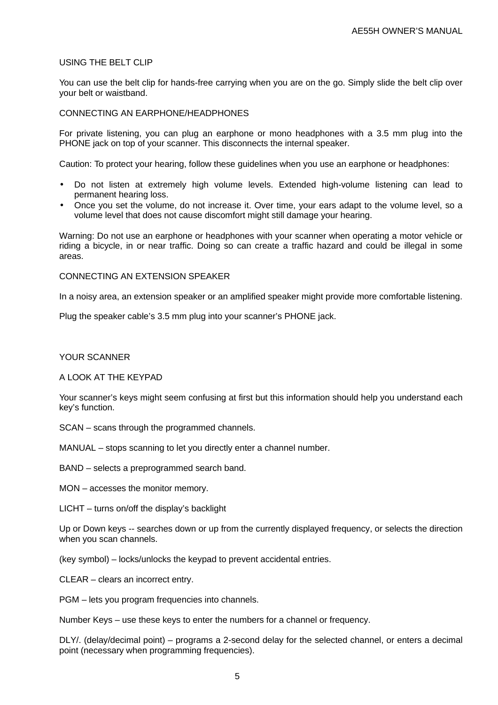# USING THE BELT CLIP

You can use the belt clip for hands-free carrying when you are on the go. Simply slide the belt clip over your belt or waistband.

#### CONNECTING AN EARPHONE/HEADPHONES

For private listening, you can plug an earphone or mono headphones with a 3.5 mm plug into the PHONE jack on top of your scanner. This disconnects the internal speaker.

Caution: To protect your hearing, follow these guidelines when you use an earphone or headphones:

- Do not listen at extremely high volume levels. Extended high-volume listening can lead to permanent hearing loss.
- Once you set the volume, do not increase it. Over time, your ears adapt to the volume level, so a volume level that does not cause discomfort might still damage your hearing.

Warning: Do not use an earphone or headphones with your scanner when operating a motor vehicle or riding a bicycle, in or near traffic. Doing so can create a traffic hazard and could be illegal in some areas.

CONNECTING AN EXTENSION SPEAKER

In a noisy area, an extension speaker or an amplified speaker might provide more comfortable listening.

Plug the speaker cable's 3.5 mm plug into your scanner's PHONE jack.

# YOUR SCANNER

#### A LOOK AT THE KEYPAD

Your scanner's keys might seem confusing at first but this information should help you understand each key's function.

SCAN – scans through the programmed channels.

MANUAL – stops scanning to let you directly enter a channel number.

BAND – selects a preprogrammed search band.

MON – accesses the monitor memory.

LICHT – turns on/off the display's backlight

Up or Down keys -- searches down or up from the currently displayed frequency, or selects the direction when you scan channels.

(key symbol) – locks/unlocks the keypad to prevent accidental entries.

CLEAR – clears an incorrect entry.

PGM – lets you program frequencies into channels.

Number Keys – use these keys to enter the numbers for a channel or frequency.

DLY/. (delay/decimal point) – programs a 2-second delay for the selected channel, or enters a decimal point (necessary when programming frequencies).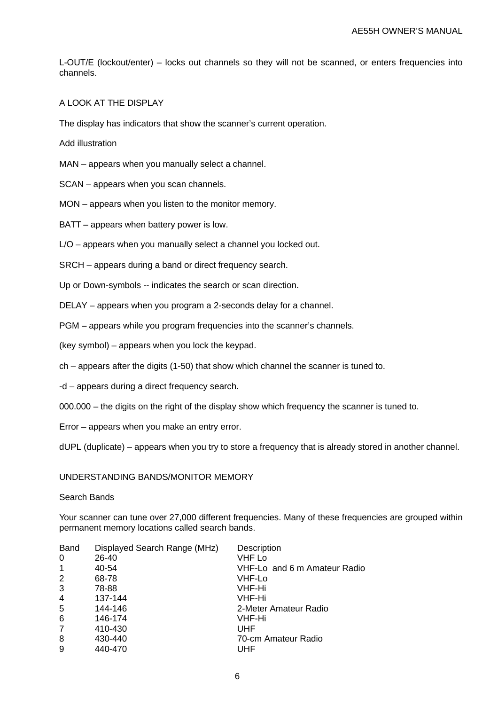L-OUT/E (lockout/enter) – locks out channels so they will not be scanned, or enters frequencies into channels.

# A LOOK AT THE DISPLAY

The display has indicators that show the scanner's current operation.

Add illustration

MAN – appears when you manually select a channel.

SCAN – appears when you scan channels.

MON – appears when you listen to the monitor memory.

BATT – appears when battery power is low.

L/O – appears when you manually select a channel you locked out.

SRCH – appears during a band or direct frequency search.

Up or Down-symbols -- indicates the search or scan direction.

DELAY – appears when you program a 2-seconds delay for a channel.

PGM – appears while you program frequencies into the scanner's channels.

(key symbol) – appears when you lock the keypad.

ch – appears after the digits (1-50) that show which channel the scanner is tuned to.

-d – appears during a direct frequency search.

000.000 – the digits on the right of the display show which frequency the scanner is tuned to.

Error – appears when you make an entry error.

dUPL (duplicate) – appears when you try to store a frequency that is already stored in another channel.

#### UNDERSTANDING BANDS/MONITOR MEMORY

# Search Bands

Your scanner can tune over 27,000 different frequencies. Many of these frequencies are grouped within permanent memory locations called search bands.

| Displayed Search Range (MHz) | Description                  |
|------------------------------|------------------------------|
| 26-40                        | <b>VHF Lo</b>                |
| 40-54                        | VHF-Lo and 6 m Amateur Radio |
| 68-78                        | VHF-Lo                       |
| 78-88                        | VHF-Hi                       |
| 137-144                      | VHF-Hi                       |
| 144-146                      | 2-Meter Amateur Radio        |
| 146-174                      | VHF-Hi                       |
| 410-430                      | UHF                          |
| 430-440                      | 70-cm Amateur Radio          |
| 440-470                      | UHF                          |
|                              |                              |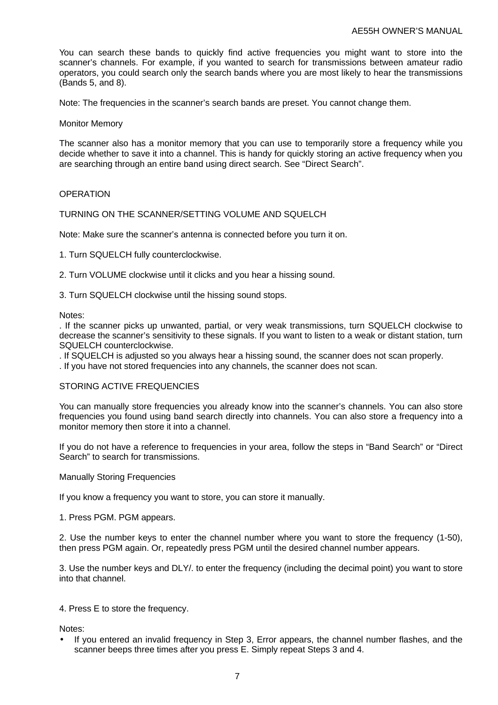You can search these bands to quickly find active frequencies you might want to store into the scanner's channels. For example, if you wanted to search for transmissions between amateur radio operators, you could search only the search bands where you are most likely to hear the transmissions (Bands 5, and 8).

Note: The frequencies in the scanner's search bands are preset. You cannot change them.

Monitor Memory

The scanner also has a monitor memory that you can use to temporarily store a frequency while you decide whether to save it into a channel. This is handy for quickly storing an active frequency when you are searching through an entire band using direct search. See "Direct Search".

## **OPERATION**

TURNING ON THE SCANNER/SETTING VOLUME AND SQUELCH

Note: Make sure the scanner's antenna is connected before you turn it on.

1. Turn SQUELCH fully counterclockwise.

2. Turn VOLUME clockwise until it clicks and you hear a hissing sound.

3. Turn SQUELCH clockwise until the hissing sound stops.

Notes:

. If the scanner picks up unwanted, partial, or very weak transmissions, turn SQUELCH clockwise to decrease the scanner's sensitivity to these signals. If you want to listen to a weak or distant station, turn SQUELCH counterclockwise.

. If SQUELCH is adjusted so you always hear a hissing sound, the scanner does not scan properly.

. If you have not stored frequencies into any channels, the scanner does not scan.

## STORING ACTIVE FREQUENCIES

You can manually store frequencies you already know into the scanner's channels. You can also store frequencies you found using band search directly into channels. You can also store a frequency into a monitor memory then store it into a channel.

If you do not have a reference to frequencies in your area, follow the steps in "Band Search" or "Direct Search" to search for transmissions.

Manually Storing Frequencies

If you know a frequency you want to store, you can store it manually.

1. Press PGM. PGM appears.

2. Use the number keys to enter the channel number where you want to store the frequency (1-50), then press PGM again. Or, repeatedly press PGM until the desired channel number appears.

3. Use the number keys and DLY/. to enter the frequency (including the decimal point) you want to store into that channel.

4. Press E to store the frequency.

Notes:

• If you entered an invalid frequency in Step 3, Error appears, the channel number flashes, and the scanner beeps three times after you press E. Simply repeat Steps 3 and 4.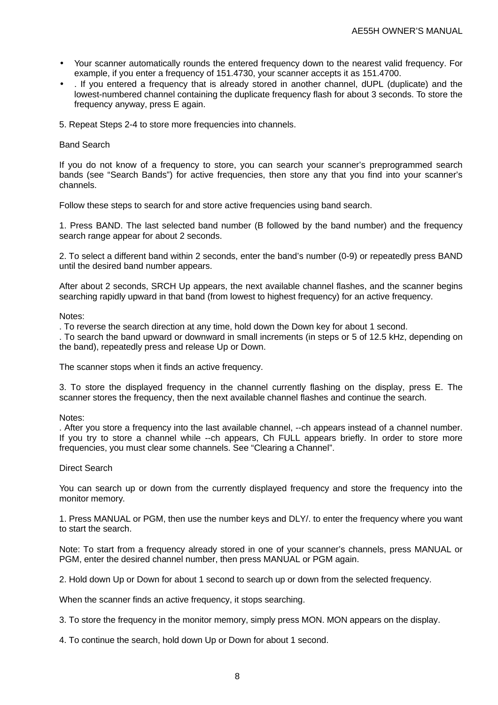- Your scanner automatically rounds the entered frequency down to the nearest valid frequency. For example, if you enter a frequency of 151.4730, your scanner accepts it as 151.4700.
- . If you entered a frequency that is already stored in another channel, dUPL (duplicate) and the lowest-numbered channel containing the duplicate frequency flash for about 3 seconds. To store the frequency anyway, press E again.
- 5. Repeat Steps 2-4 to store more frequencies into channels.

# Band Search

If you do not know of a frequency to store, you can search your scanner's preprogrammed search bands (see "Search Bands") for active frequencies, then store any that you find into your scanner's channels.

Follow these steps to search for and store active frequencies using band search.

1. Press BAND. The last selected band number (B followed by the band number) and the frequency search range appear for about 2 seconds.

2. To select a different band within 2 seconds, enter the band's number (0-9) or repeatedly press BAND until the desired band number appears.

After about 2 seconds, SRCH Up appears, the next available channel flashes, and the scanner begins searching rapidly upward in that band (from lowest to highest frequency) for an active frequency.

Notes:

. To reverse the search direction at any time, hold down the Down key for about 1 second.

. To search the band upward or downward in small increments (in steps or 5 of 12.5 kHz, depending on the band), repeatedly press and release Up or Down.

The scanner stops when it finds an active frequency.

3. To store the displayed frequency in the channel currently flashing on the display, press E. The scanner stores the frequency, then the next available channel flashes and continue the search.

#### Notes:

. After you store a frequency into the last available channel, --ch appears instead of a channel number. If you try to store a channel while --ch appears, Ch FULL appears briefly. In order to store more frequencies, you must clear some channels. See "Clearing a Channel".

#### Direct Search

You can search up or down from the currently displayed frequency and store the frequency into the monitor memory.

1. Press MANUAL or PGM, then use the number keys and DLY/. to enter the frequency where you want to start the search.

Note: To start from a frequency already stored in one of your scanner's channels, press MANUAL or PGM, enter the desired channel number, then press MANUAL or PGM again.

2. Hold down Up or Down for about 1 second to search up or down from the selected frequency.

When the scanner finds an active frequency, it stops searching.

3. To store the frequency in the monitor memory, simply press MON. MON appears on the display.

4. To continue the search, hold down Up or Down for about 1 second.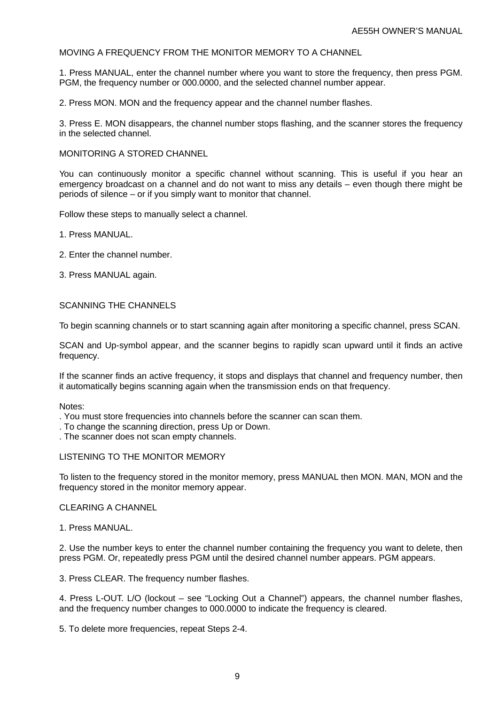# MOVING A FREQUENCY FROM THE MONITOR MEMORY TO A CHANNEL

1. Press MANUAL, enter the channel number where you want to store the frequency, then press PGM. PGM, the frequency number or 000.0000, and the selected channel number appear.

2. Press MON. MON and the frequency appear and the channel number flashes.

3. Press E. MON disappears, the channel number stops flashing, and the scanner stores the frequency in the selected channel.

# MONITORING A STORED CHANNEL

You can continuously monitor a specific channel without scanning. This is useful if you hear an emergency broadcast on a channel and do not want to miss any details – even though there might be periods of silence – or if you simply want to monitor that channel.

Follow these steps to manually select a channel.

- 1. Press MANUAL.
- 2. Enter the channel number.
- 3. Press MANUAL again.

## SCANNING THE CHANNELS

To begin scanning channels or to start scanning again after monitoring a specific channel, press SCAN.

SCAN and Up-symbol appear, and the scanner begins to rapidly scan upward until it finds an active frequency.

If the scanner finds an active frequency, it stops and displays that channel and frequency number, then it automatically begins scanning again when the transmission ends on that frequency.

Notes:

- . You must store frequencies into channels before the scanner can scan them.
- . To change the scanning direction, press Up or Down.
- . The scanner does not scan empty channels.

# LISTENING TO THE MONITOR MEMORY

To listen to the frequency stored in the monitor memory, press MANUAL then MON. MAN, MON and the frequency stored in the monitor memory appear.

#### CLEARING A CHANNEL

#### 1. Press MANUAL.

2. Use the number keys to enter the channel number containing the frequency you want to delete, then press PGM. Or, repeatedly press PGM until the desired channel number appears. PGM appears.

3. Press CLEAR. The frequency number flashes.

4. Press L-OUT. L/O (lockout – see "Locking Out a Channel") appears, the channel number flashes, and the frequency number changes to 000.0000 to indicate the frequency is cleared.

5. To delete more frequencies, repeat Steps 2-4.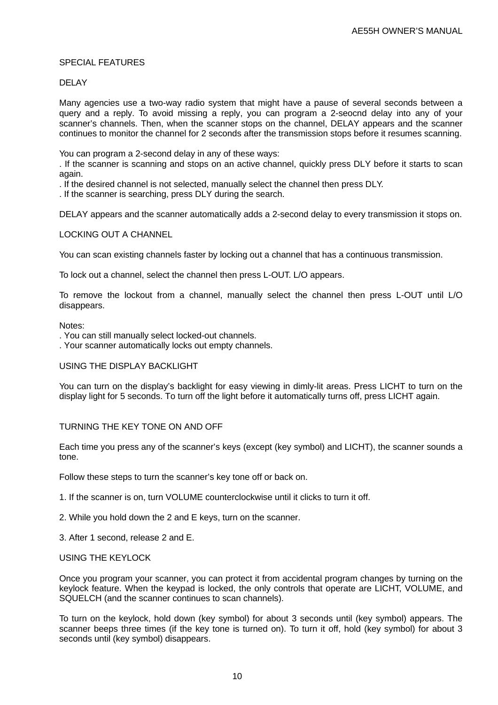# SPECIAL FEATURES

# DELAY

Many agencies use a two-way radio system that might have a pause of several seconds between a query and a reply. To avoid missing a reply, you can program a 2-seocnd delay into any of your scanner's channels. Then, when the scanner stops on the channel, DELAY appears and the scanner continues to monitor the channel for 2 seconds after the transmission stops before it resumes scanning.

You can program a 2-second delay in any of these ways:

. If the scanner is scanning and stops on an active channel, quickly press DLY before it starts to scan again.

. If the desired channel is not selected, manually select the channel then press DLY.

. If the scanner is searching, press DLY during the search.

DELAY appears and the scanner automatically adds a 2-second delay to every transmission it stops on.

## LOCKING OUT A CHANNEL

You can scan existing channels faster by locking out a channel that has a continuous transmission.

To lock out a channel, select the channel then press L-OUT. L/O appears.

To remove the lockout from a channel, manually select the channel then press L-OUT until L/O disappears.

#### Notes:

. You can still manually select locked-out channels.

. Your scanner automatically locks out empty channels.

#### USING THE DISPLAY BACKLIGHT

You can turn on the display's backlight for easy viewing in dimly-lit areas. Press LICHT to turn on the display light for 5 seconds. To turn off the light before it automatically turns off, press LICHT again.

# TURNING THE KEY TONE ON AND OFF

Each time you press any of the scanner's keys (except (key symbol) and LICHT), the scanner sounds a tone.

Follow these steps to turn the scanner's key tone off or back on.

1. If the scanner is on, turn VOLUME counterclockwise until it clicks to turn it off.

2. While you hold down the 2 and E keys, turn on the scanner.

3. After 1 second, release 2 and E.

# USING THE KEYLOCK

Once you program your scanner, you can protect it from accidental program changes by turning on the keylock feature. When the keypad is locked, the only controls that operate are LICHT, VOLUME, and SQUELCH (and the scanner continues to scan channels).

To turn on the keylock, hold down (key symbol) for about 3 seconds until (key symbol) appears. The scanner beeps three times (if the key tone is turned on). To turn it off, hold (key symbol) for about 3 seconds until (key symbol) disappears.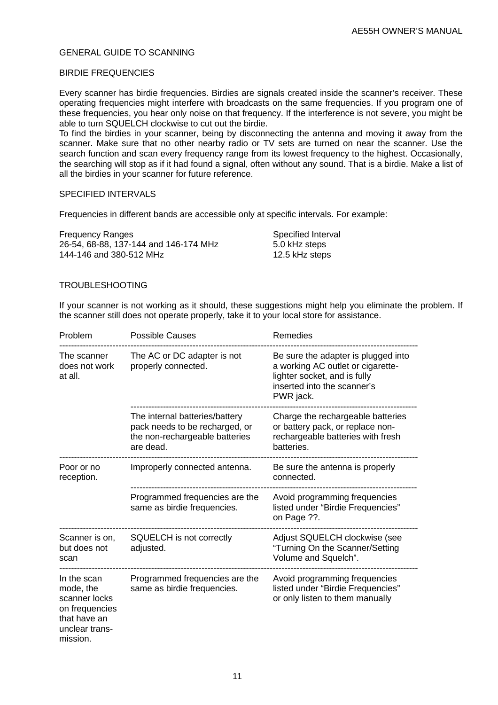# GENERAL GUIDE TO SCANNING

# BIRDIE FREQUENCIES

Every scanner has birdie frequencies. Birdies are signals created inside the scanner's receiver. These operating frequencies might interfere with broadcasts on the same frequencies. If you program one of these frequencies, you hear only noise on that frequency. If the interference is not severe, you might be able to turn SQUELCH clockwise to cut out the birdie.

To find the birdies in your scanner, being by disconnecting the antenna and moving it away from the scanner. Make sure that no other nearby radio or TV sets are turned on near the scanner. Use the search function and scan every frequency range from its lowest frequency to the highest. Occasionally, the searching will stop as if it had found a signal, often without any sound. That is a birdie. Make a list of all the birdies in your scanner for future reference.

# SPECIFIED INTERVALS

Frequencies in different bands are accessible only at specific intervals. For example:

| <b>Frequency Ranges</b>               | Specified Interval |
|---------------------------------------|--------------------|
| 26-54, 68-88, 137-144 and 146-174 MHz | 5.0 kHz steps      |
| 144-146 and 380-512 MHz               | 12.5 kHz steps     |

# TROUBLESHOOTING

If your scanner is not working as it should, these suggestions might help you eliminate the problem. If the scanner still does not operate properly, take it to your local store for assistance.

| Problem                                                                                                   | <b>Possible Causes</b>                                                                                          | Remedies                                                                                                                                             |
|-----------------------------------------------------------------------------------------------------------|-----------------------------------------------------------------------------------------------------------------|------------------------------------------------------------------------------------------------------------------------------------------------------|
| The scanner<br>does not work<br>at all.                                                                   | The AC or DC adapter is not<br>properly connected.                                                              | Be sure the adapter is plugged into<br>a working AC outlet or cigarette-<br>lighter socket, and is fully<br>inserted into the scanner's<br>PWR jack. |
|                                                                                                           | The internal batteries/battery<br>pack needs to be recharged, or<br>the non-rechargeable batteries<br>are dead. | Charge the rechargeable batteries<br>or battery pack, or replace non-<br>rechargeable batteries with fresh<br>batteries.                             |
| Poor or no<br>reception.                                                                                  | Improperly connected antenna.                                                                                   | Be sure the antenna is properly<br>connected.                                                                                                        |
|                                                                                                           | Programmed frequencies are the<br>same as birdie frequencies.                                                   | Avoid programming frequencies<br>listed under "Birdie Frequencies"<br>on Page ??.                                                                    |
| Scanner is on,<br>but does not<br>scan                                                                    | SQUELCH is not correctly<br>adjusted.                                                                           | Adjust SQUELCH clockwise (see<br>"Turning On the Scanner/Setting<br>Volume and Squelch".                                                             |
| In the scan<br>mode, the<br>scanner locks<br>on frequencies<br>that have an<br>unclear trans-<br>mission. | Programmed frequencies are the<br>same as birdie frequencies.                                                   | Avoid programming frequencies<br>listed under "Birdie Frequencies"<br>or only listen to them manually                                                |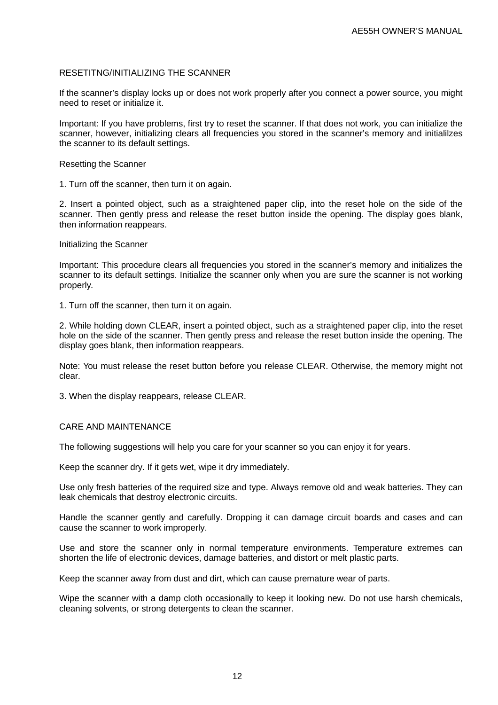# RESETITNG/INITIALIZING THE SCANNER

If the scanner's display locks up or does not work properly after you connect a power source, you might need to reset or initialize it.

Important: If you have problems, first try to reset the scanner. If that does not work, you can initialize the scanner, however, initializing clears all frequencies you stored in the scanner's memory and initialilzes the scanner to its default settings.

# Resetting the Scanner

1. Turn off the scanner, then turn it on again.

2. Insert a pointed object, such as a straightened paper clip, into the reset hole on the side of the scanner. Then gently press and release the reset button inside the opening. The display goes blank, then information reappears.

## Initializing the Scanner

Important: This procedure clears all frequencies you stored in the scanner's memory and initializes the scanner to its default settings. Initialize the scanner only when you are sure the scanner is not working properly.

1. Turn off the scanner, then turn it on again.

2. While holding down CLEAR, insert a pointed object, such as a straightened paper clip, into the reset hole on the side of the scanner. Then gently press and release the reset button inside the opening. The display goes blank, then information reappears.

Note: You must release the reset button before you release CLEAR. Otherwise, the memory might not clear.

3. When the display reappears, release CLEAR.

# CARE AND MAINTENANCE

The following suggestions will help you care for your scanner so you can enjoy it for years.

Keep the scanner dry. If it gets wet, wipe it dry immediately.

Use only fresh batteries of the required size and type. Always remove old and weak batteries. They can leak chemicals that destroy electronic circuits.

Handle the scanner gently and carefully. Dropping it can damage circuit boards and cases and can cause the scanner to work improperly.

Use and store the scanner only in normal temperature environments. Temperature extremes can shorten the life of electronic devices, damage batteries, and distort or melt plastic parts.

Keep the scanner away from dust and dirt, which can cause premature wear of parts.

Wipe the scanner with a damp cloth occasionally to keep it looking new. Do not use harsh chemicals, cleaning solvents, or strong detergents to clean the scanner.